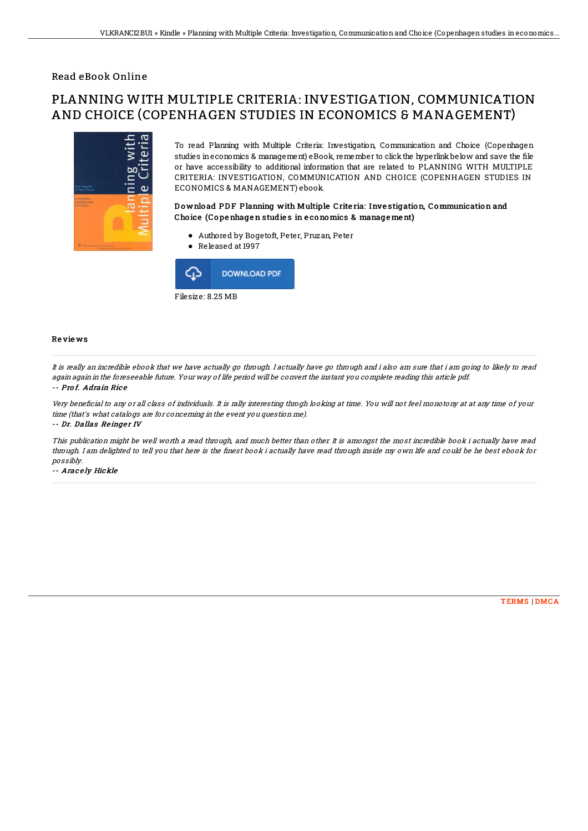## Read eBook Online

# PLANNING WITH MULTIPLE CRITERIA: INVESTIGATION, COMMUNICATION AND CHOICE (COPENHAGEN STUDIES IN ECONOMICS & MANAGEMENT)



To read Planning with Multiple Criteria: Investigation, Communication and Choice (Copenhagen studies in economics & management) eBook, remember to click the hyperlink below and save the file or have accessibility to additional information that are related to PLANNING WITH MULTIPLE CRITERIA: INVESTIGATION, COMMUNICATION AND CHOICE (COPENHAGEN STUDIES IN ECONOMICS & MANAGEMENT) ebook.

#### D o wnlo ad PD F Planning with Multiple Crite ria: Inve stigation, Communication and Cho ice (Co pe nhage n studie s in e conomics & manage me nt)

- Authored by Bogetoft, Peter, Pruzan, Peter
- Released at 1997



#### Re vie ws

It is really an incredible ebook that we have actually go through. I actually have go through and i also am sure that i am going to likely to read again again in the foreseeable future. Your way of life period will be convert the instant you complete reading this article pdf. -- Prof. Adrain Rice

## Very beneficial to any or all class of individuals. It is rally interesting throgh looking at time. You will not feel monotony at at any time of your time (that's what catalogs are for concerning in the event you question me).

-- Dr. Dallas Reinger IV

This publication might be well worth <sup>a</sup> read through, and much better than other. It is amongst the most incredible book i actually have read through. I am delighted to tell you that here is the finest book i actually have read through inside my own life and could be he best ebook for possibly.

-- Aracely Hickle